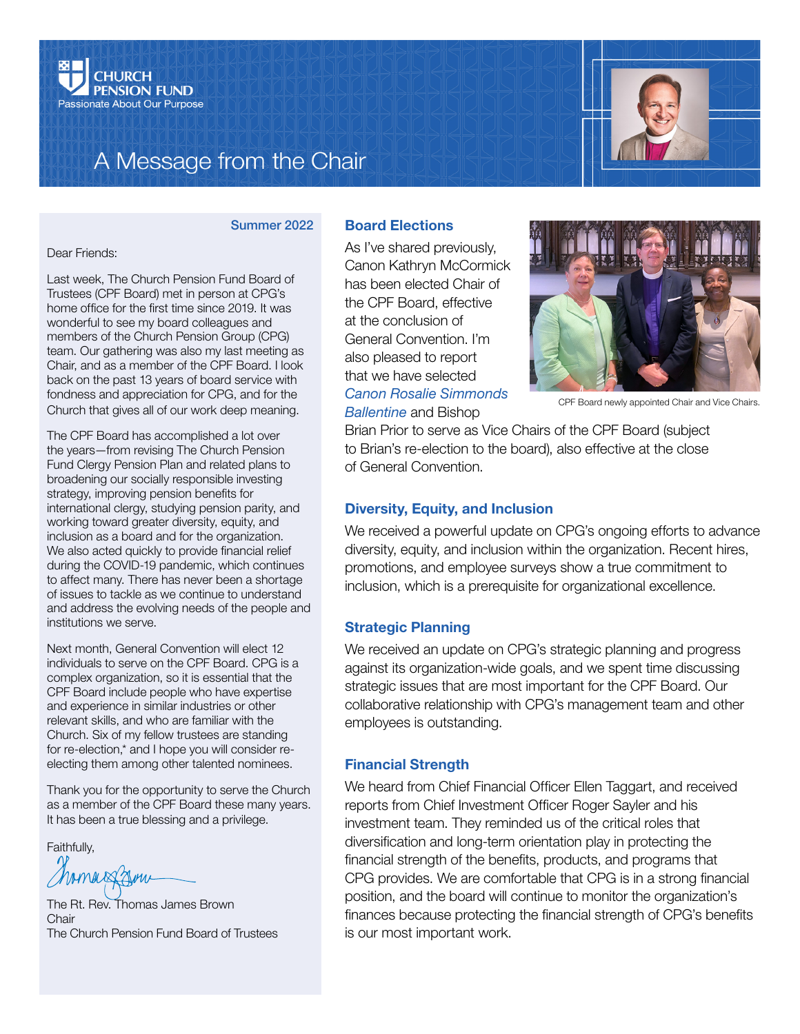

# A Message from the Chair



#### Summer 2022

Dear Friends:

Last week, The Church Pension Fund Board of Trustees (CPF Board) met in person at CPG's home office for the first time since 2019. It was wonderful to see my board colleagues and members of the Church Pension Group (CPG) team. Our gathering was also my last meeting as Chair, and as a member of the CPF Board. I look back on the past 13 years of board service with fondness and appreciation for CPG, and for the Church that gives all of our work deep meaning.

The CPF Board has accomplished a lot over the years—from revising The Church Pension Fund Clergy Pension Plan and related plans to broadening our socially responsible investing strategy, improving pension benefits for international clergy, studying pension parity, and working toward greater diversity, equity, and inclusion as a board and for the organization. We also acted quickly to provide financial relief during the COVID-19 pandemic, which continues to affect many. There has never been a shortage of issues to tackle as we continue to understand and address the evolving needs of the people and institutions we serve.

Next month, General Convention will elect 12 individuals to serve on the CPF Board. CPG is a complex organization, so it is essential that the CPF Board include people who have expertise and experience in similar industries or other relevant skills, and who are familiar with the Church. Six of my fellow trustees are standing for re-election,\* and I hope you will consider reelecting them among other talented nominees.

Thank you for the opportunity to serve the Church as a member of the CPF Board these many years. It has been a true blessing and a privilege.

Faithfully,

The Rt. Rev. Thomas James Brown Chair The Church Pension Fund Board of Trustees

# Board Elections

As I've shared previously, Canon Kathryn McCormick has been elected Chair of the CPF Board, effective at the conclusion of General Convention. I'm also pleased to report that we have selected *[Canon Rosalie Simmonds](https://www.cpg.org/global/about-us/leadership-governance/#ballentine)  [Ballentine](https://www.cpg.org/global/about-us/leadership-governance/#ballentine)* and Bishop



CPF Board newly appointed Chair and Vice Chairs.

Brian Prior to serve as Vice Chairs of the CPF Board (subject to Brian's re-election to the board), also effective at the close of General Convention.

## Diversity, Equity, and Inclusion

We received a powerful update on CPG's ongoing efforts to advance diversity, equity, and inclusion within the organization. Recent hires, promotions, and employee surveys show a true commitment to inclusion, which is a prerequisite for organizational excellence.

#### Strategic Planning

We received an update on CPG's strategic planning and progress against its organization-wide goals, and we spent time discussing strategic issues that are most important for the CPF Board. Our collaborative relationship with CPG's management team and other employees is outstanding.

### Financial Strength

We heard from Chief Financial Officer Ellen Taggart, and received reports from Chief Investment Officer Roger Sayler and his investment team. They reminded us of the critical roles that diversification and long-term orientation play in protecting the financial strength of the benefits, products, and programs that CPG provides. We are comfortable that CPG is in a strong financial position, and the board will continue to monitor the organization's finances because protecting the financial strength of CPG's benefits is our most important work.